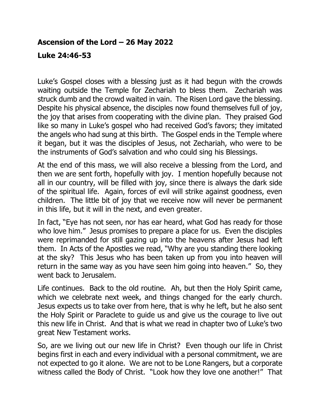## **Ascension of the Lord – 26 May 2022**

## **Luke 24:46-53**

Luke's Gospel closes with a blessing just as it had begun with the crowds waiting outside the Temple for Zechariah to bless them. Zechariah was struck dumb and the crowd waited in vain. The Risen Lord gave the blessing. Despite his physical absence, the disciples now found themselves full of joy, the joy that arises from cooperating with the divine plan. They praised God like so many in Luke's gospel who had received God's favors; they imitated the angels who had sung at this birth. The Gospel ends in the Temple where it began, but it was the disciples of Jesus, not Zechariah, who were to be the instruments of God's salvation and who could sing his Blessings.

At the end of this mass, we will also receive a blessing from the Lord, and then we are sent forth, hopefully with joy. I mention hopefully because not all in our country, will be filled with joy, since there is always the dark side of the spiritual life. Again, forces of evil will strike against goodness, even children. The little bit of joy that we receive now will never be permanent in this life, but it will in the next, and even greater.

In fact, "Eye has not seen, nor has ear heard, what God has ready for those who love him." Jesus promises to prepare a place for us. Even the disciples were reprimanded for still gazing up into the heavens after Jesus had left them. In Acts of the Apostles we read, "Why are you standing there looking at the sky? This Jesus who has been taken up from you into heaven will return in the same way as you have seen him going into heaven." So, they went back to Jerusalem.

Life continues. Back to the old routine. Ah, but then the Holy Spirit came, which we celebrate next week, and things changed for the early church. Jesus expects us to take over from here, that is why he left, but he also sent the Holy Spirit or Paraclete to guide us and give us the courage to live out this new life in Christ. And that is what we read in chapter two of Luke's two great New Testament works.

So, are we living out our new life in Christ? Even though our life in Christ begins first in each and every individual with a personal commitment, we are not expected to go it alone. We are not to be Lone Rangers, but a corporate witness called the Body of Christ. "Look how they love one another!" That